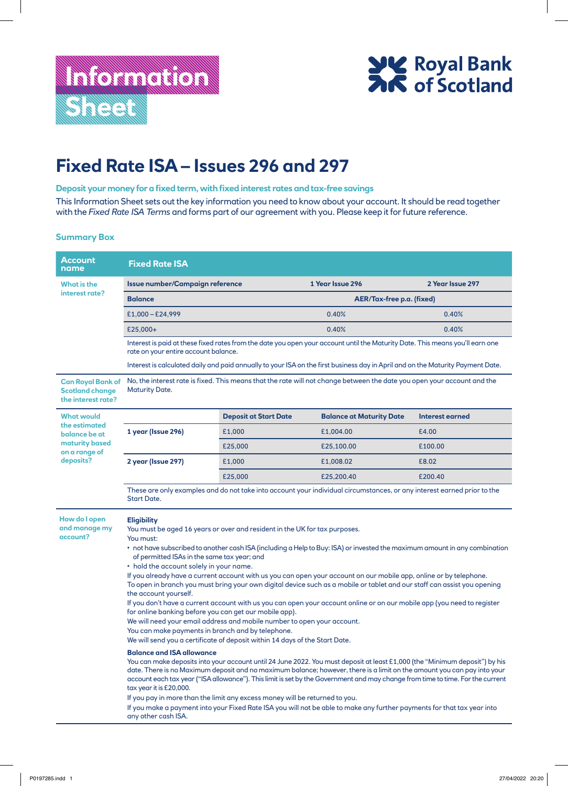

## **Fixed Rate ISA – Issues 296 and 297**

## **Deposit your money for a fixed term, with fixed interest rates and tax-free savings**

This Information Sheet sets out the key information you need to know about your account. It should be read together with the *Fixed Rate ISA Terms* and forms part of our agreement with you. Please keep it for future reference.

## **Summary Box**

| <b>Account</b><br>name                                                                 | <b>Fixed Rate ISA</b>                                                                                                                                                                                                                                                                                                                                                                                                                                                                                                                                                                                                                                                                                                                                                                                                                                                                                                                                                                                                                                                                                                                                                                                                                                                                                                                                                                                                                                                                                                                                                                                                                                                                                            |                              |                                 |                        |  |
|----------------------------------------------------------------------------------------|------------------------------------------------------------------------------------------------------------------------------------------------------------------------------------------------------------------------------------------------------------------------------------------------------------------------------------------------------------------------------------------------------------------------------------------------------------------------------------------------------------------------------------------------------------------------------------------------------------------------------------------------------------------------------------------------------------------------------------------------------------------------------------------------------------------------------------------------------------------------------------------------------------------------------------------------------------------------------------------------------------------------------------------------------------------------------------------------------------------------------------------------------------------------------------------------------------------------------------------------------------------------------------------------------------------------------------------------------------------------------------------------------------------------------------------------------------------------------------------------------------------------------------------------------------------------------------------------------------------------------------------------------------------------------------------------------------------|------------------------------|---------------------------------|------------------------|--|
| What is the<br>interest rate?                                                          | Issue number/Campaign reference                                                                                                                                                                                                                                                                                                                                                                                                                                                                                                                                                                                                                                                                                                                                                                                                                                                                                                                                                                                                                                                                                                                                                                                                                                                                                                                                                                                                                                                                                                                                                                                                                                                                                  |                              | 1 Year Issue 296                | 2 Year Issue 297       |  |
|                                                                                        | <b>Balance</b>                                                                                                                                                                                                                                                                                                                                                                                                                                                                                                                                                                                                                                                                                                                                                                                                                                                                                                                                                                                                                                                                                                                                                                                                                                                                                                                                                                                                                                                                                                                                                                                                                                                                                                   | AER/Tax-free p.a. (fixed)    |                                 |                        |  |
|                                                                                        | $£1,000 - £24,999$                                                                                                                                                                                                                                                                                                                                                                                                                                                                                                                                                                                                                                                                                                                                                                                                                                                                                                                                                                                                                                                                                                                                                                                                                                                                                                                                                                                                                                                                                                                                                                                                                                                                                               |                              | 0.40%                           | 0.40%                  |  |
|                                                                                        | £25,000+                                                                                                                                                                                                                                                                                                                                                                                                                                                                                                                                                                                                                                                                                                                                                                                                                                                                                                                                                                                                                                                                                                                                                                                                                                                                                                                                                                                                                                                                                                                                                                                                                                                                                                         |                              | 0.40%                           | 0.40%                  |  |
|                                                                                        | Interest is paid at these fixed rates from the date you open your account until the Maturity Date. This means you'll earn one<br>rate on your entire account balance.                                                                                                                                                                                                                                                                                                                                                                                                                                                                                                                                                                                                                                                                                                                                                                                                                                                                                                                                                                                                                                                                                                                                                                                                                                                                                                                                                                                                                                                                                                                                            |                              |                                 |                        |  |
|                                                                                        | Interest is calculated daily and paid annually to your ISA on the first business day in April and on the Maturity Payment Date.                                                                                                                                                                                                                                                                                                                                                                                                                                                                                                                                                                                                                                                                                                                                                                                                                                                                                                                                                                                                                                                                                                                                                                                                                                                                                                                                                                                                                                                                                                                                                                                  |                              |                                 |                        |  |
| <b>Can Royal Bank of</b><br><b>Scotland change</b><br>the interest rate?               | No, the interest rate is fixed. This means that the rate will not change between the date you open your account and the<br><b>Maturity Date.</b>                                                                                                                                                                                                                                                                                                                                                                                                                                                                                                                                                                                                                                                                                                                                                                                                                                                                                                                                                                                                                                                                                                                                                                                                                                                                                                                                                                                                                                                                                                                                                                 |                              |                                 |                        |  |
| <b>What would</b><br>the estimated<br>balance be at<br>maturity based<br>on a range of |                                                                                                                                                                                                                                                                                                                                                                                                                                                                                                                                                                                                                                                                                                                                                                                                                                                                                                                                                                                                                                                                                                                                                                                                                                                                                                                                                                                                                                                                                                                                                                                                                                                                                                                  | <b>Deposit at Start Date</b> | <b>Balance at Maturity Date</b> | <b>Interest earned</b> |  |
|                                                                                        | 1 year (Issue 296)                                                                                                                                                                                                                                                                                                                                                                                                                                                                                                                                                                                                                                                                                                                                                                                                                                                                                                                                                                                                                                                                                                                                                                                                                                                                                                                                                                                                                                                                                                                                                                                                                                                                                               | £1,000                       | £1,004.00                       | £4.00                  |  |
|                                                                                        |                                                                                                                                                                                                                                                                                                                                                                                                                                                                                                                                                                                                                                                                                                                                                                                                                                                                                                                                                                                                                                                                                                                                                                                                                                                                                                                                                                                                                                                                                                                                                                                                                                                                                                                  | £25,000                      | £25,100.00                      | £100.00                |  |
| deposits?                                                                              | 2 year (Issue 297)                                                                                                                                                                                                                                                                                                                                                                                                                                                                                                                                                                                                                                                                                                                                                                                                                                                                                                                                                                                                                                                                                                                                                                                                                                                                                                                                                                                                                                                                                                                                                                                                                                                                                               | £1,000                       | £1,008.02                       | £8.02                  |  |
|                                                                                        |                                                                                                                                                                                                                                                                                                                                                                                                                                                                                                                                                                                                                                                                                                                                                                                                                                                                                                                                                                                                                                                                                                                                                                                                                                                                                                                                                                                                                                                                                                                                                                                                                                                                                                                  | £25,000                      | £25,200.40                      | £200.40                |  |
|                                                                                        | These are only examples and do not take into account your individual circumstances, or any interest earned prior to the<br><b>Start Date.</b>                                                                                                                                                                                                                                                                                                                                                                                                                                                                                                                                                                                                                                                                                                                                                                                                                                                                                                                                                                                                                                                                                                                                                                                                                                                                                                                                                                                                                                                                                                                                                                    |                              |                                 |                        |  |
| How do I open<br>and manage my<br>account?                                             | <b>Eligibility</b><br>You must be aged 16 years or over and resident in the UK for tax purposes.<br>You must:<br>• not have subscribed to another cash ISA (including a Help to Buy: ISA) or invested the maximum amount in any combination<br>of permitted ISAs in the same tax year; and<br>• hold the account solely in your name.<br>If you already have a current account with us you can open your account on our mobile app, online or by telephone.<br>To open in branch you must bring your own digital device such as a mobile or tablet and our staff can assist you opening<br>the account yourself.<br>If you don't have a current account with us you can open your account online or on our mobile app (you need to register<br>for online banking before you can get our mobile app).<br>We will need your email address and mobile number to open your account.<br>You can make payments in branch and by telephone.<br>We will send you a certificate of deposit within 14 days of the Start Date.<br><b>Balance and ISA allowance</b><br>You can make deposits into your account until 24 June 2022. You must deposit at least £1,000 (the "Minimum deposit") by his<br>date. There is no Maximum deposit and no maximum balance; however, there is a limit on the amount you can pay into your<br>account each tax year ("ISA allowance"). This limit is set by the Government and may change from time to time. For the current<br>tax year it is £20,000.<br>If you pay in more than the limit any excess money will be returned to you.<br>If you make a payment into your Fixed Rate ISA you will not be able to make any further payments for that tax year into<br>any other cash ISA. |                              |                                 |                        |  |